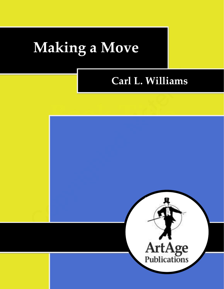# **Making a Move**

# **Carl L. Williams**

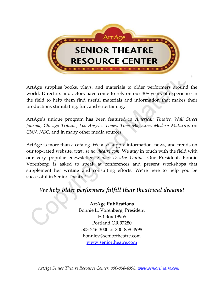

ArtAge supplies books, plays, and materials to older performers around the world. Directors and actors have come to rely on our 30+ years of experience in the field to help them find useful materials and information that makes their productions stimulating, fun, and entertaining.

ArtAge's unique program has been featured in *American Theatre, Wall Street Journal, Chicago Tribune, Los Angeles Times, Time Magazine, Modern Maturity,* on *CNN, NBC,* and in many other media sources.

ArtAge is more than a catalog. We also supply information, news, and trends on our top-rated website, *www.seniortheatre.com*. We stay in touch with the field with our very popular enewsletter, *Senior Theatre Online*. Our President, Bonnie Vorenberg, is asked to speak at conferences and present workshops that supplement her writing and consulting efforts. We're here to help you be successful in Senior Theatre!

# *We help older performers fulfill their theatrical dreams!*

**ArtAge Publications** Bonnie L. Vorenberg, President PO Box 19955 Portland OR 97280 503-246-3000 or 800-858-4998 bonniev@seniortheatre.com [www.seniortheatre.com](http://www.seniortheatre.com/)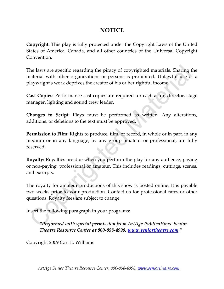### **NOTICE**

**Copyright:** This play is fully protected under the Copyright Laws of the United States of America, Canada, and all other countries of the Universal Copyright Convention.

The laws are specific regarding the piracy of copyrighted materials. Sharing the material with other organizations or persons is prohibited. Unlawful use of a playwright's work deprives the creator of his or her rightful income.

**Cast Copies:** Performance cast copies are required for each actor, director, stage manager, lighting and sound crew leader.

**Changes to Script:** Plays must be performed as written. Any alterations, additions, or deletions to the text must be approved.

**Permission to Film:** Rights to produce, film, or record, in whole or in part, in any medium or in any language, by any group amateur or professional, are fully reserved.

**Royalty:** Royalties are due when you perform the play for any audience, paying or non-paying, professional or amateur. This includes readings, cuttings, scenes, and excerpts.

The royalty for amateur productions of this show is posted online. It is payable two weeks prior to your production. Contact us for professional rates or other questions. Royalty fees are subject to change.

Insert the following paragraph in your programs:

*"Performed with special permission from ArtAge Publications' Senior Theatre Resource Center at 800-858-4998, [www.seniortheatre.com](http://www.seniortheatre.com/)."*

Copyright 2009 Carl L. Williams

*ArtAge Senior Theatre Resource Center, 800-858-4998, [www.seniortheatre.com](http://www.seniortheatre.com/)*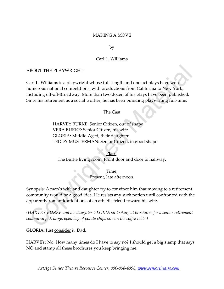#### MAKING A MOVE

by

#### Carl L. Williams

#### ABOUT THE PLAYWRIGHT:

Carl L. Williams is a playwright whose full-length and one-act plays have won numerous national competitions, with productions from California to New York, including off-off-Broadway. More than two dozen of his plays have been published. Since his retirement as a social worker, he has been pursuing playwriting full-time.

The Cast

HARVEY BURKE: Senior Citizen, out of shape VERA BURKE: Senior Citizen, his wife GLORIA: Middle-Aged, their daughter TEDDY MUSTERMAN: Senior Citizen, in good shape

Place: The Burke living room. Front door and door to hallway.

> Time: Present, late afternoon.

Synopsis: A man's wife and daughter try to convince him that moving to a retirement community would be a good idea. He resists any such notion until confronted with the apparently romantic attentions of an athletic friend toward his wife.

*(HARVEY BURKE and his daughter GLORIA sit looking at brochures for a senior retirement community. A large, open bag of potato chips sits on the coffee table.)*

GLORIA: Just consider it, Dad.

HARVEY: No. How many times do I have to say no? I should get a big stamp that says NO and stamp all these brochures you keep bringing me.

*ArtAge Senior Theatre Resource Center, 800-858-4998, [www.seniortheatre.com](http://www.seniortheatre.com/)*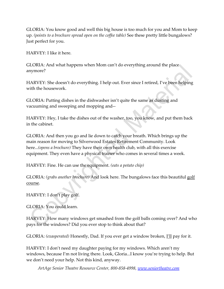GLORIA: You know good and well this big house is too much for you and Mom to keep up. *(points to a brochure spread open on the coffee table)* See these pretty little bungalows? Just perfect for you.

HARVEY: I like it here.

GLORIA: And what happens when Mom can't do everything around the place anymore?

HARVEY: She doesn't do everything. I help out. Ever since I retired, I've been helping with the housework.

GLORIA: Putting dishes in the dishwasher isn't quite the same as dusting and vacuuming and sweeping and mopping and--

HARVEY: Hey, I take the dishes out of the washer, too, you know, and put them back in the cabinet.

GLORIA: And then you go and lie down to catch your breath. Which brings up the main reason for moving to Silverwood Estates Retirement Community. Look here...*(opens a brochure)* They have their own health club, with all this exercise equipment. They even have a physical trainer who comes in several times a week.

HARVEY: Fine. He can use the equipment. *(eats a potato chip)*

GLORIA: *(grabs another brochure)* And look here. The bungalows face this beautiful golf course.

HARVEY: I don't play golf.

GLORIA: You could learn.

HARVEY: How many windows get smashed from the golf balls coming over? And who pays for the windows? Did you ever stop to think about that?

GLORIA: *(exasperated)* Honestly, Dad. If you ever get a window broken, I'll pay for it.

HARVEY: I don't need my daughter paying for my windows. Which aren't my windows, because I'm not living there. Look, Gloria...I know you're trying to help. But we don't need your help. Not this kind, anyway.

*ArtAge Senior Theatre Resource Center, 800-858-4998, [www.seniortheatre.com](http://www.seniortheatre.com/)*